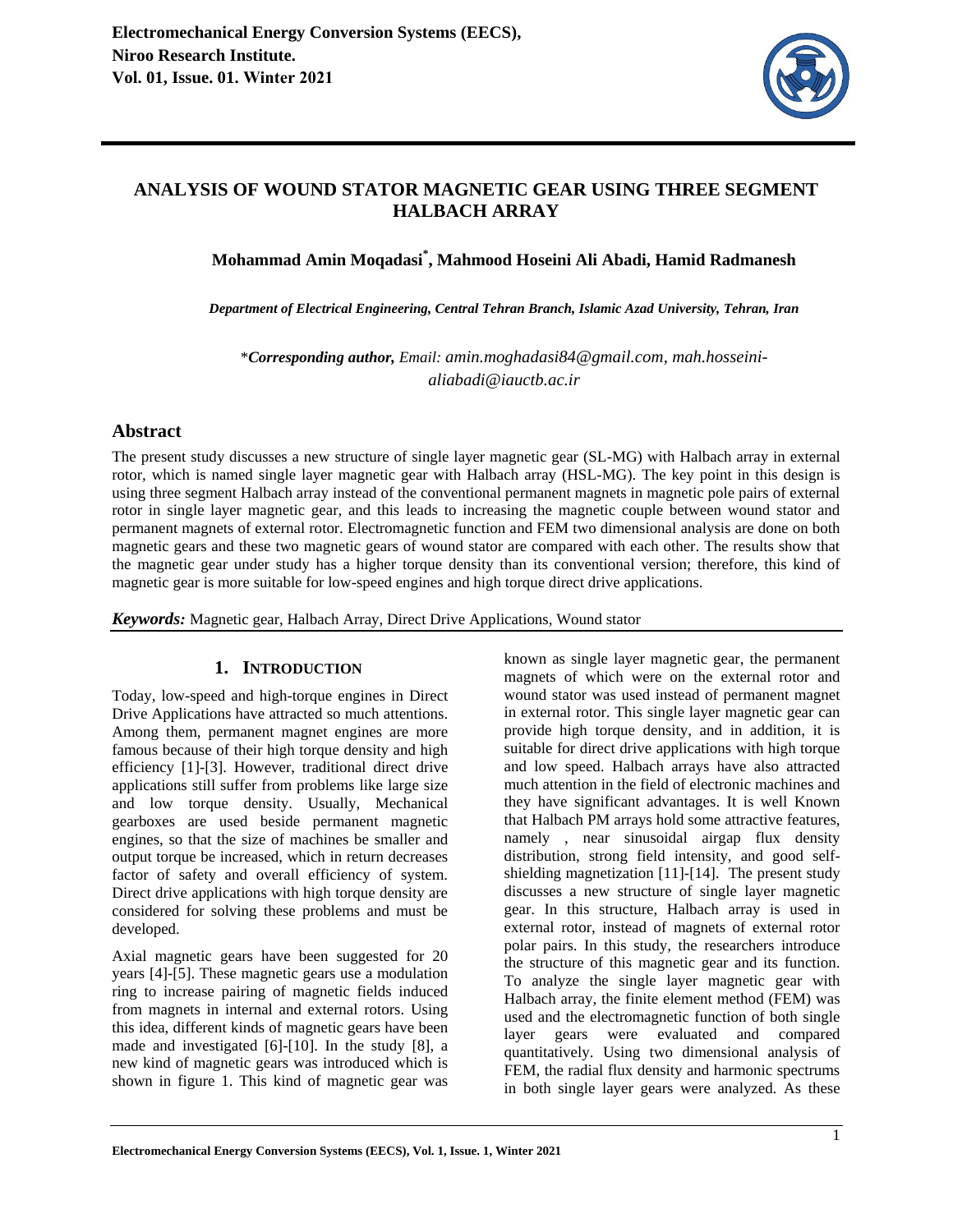

## **ANALYSIS OF WOUND STATOR MAGNETIC GEAR USING THREE SEGMENT HALBACH ARRAY**

**Mohammad Amin Moqadasi\* , Mahmood Hoseini Ali Abadi, Hamid Radmanesh** 

*Department of Electrical Engineering, Central Tehran Branch, Islamic Azad University, Tehran, Iran* 

\**Corresponding author, Email: amin.moghadasi84@gmail.com, mah.hosseinialiabadi@iauctb.ac.ir* 

## **Abstract**

The present study discusses a new structure of single layer magnetic gear (SL-MG) with Halbach array in external rotor, which is named single layer magnetic gear with Halbach array (HSL-MG). The key point in this design is using three segment Halbach array instead of the conventional permanent magnets in magnetic pole pairs of external rotor in single layer magnetic gear, and this leads to increasing the magnetic couple between wound stator and permanent magnets of external rotor. Electromagnetic function and FEM two dimensional analysis are done on both magnetic gears and these two magnetic gears of wound stator are compared with each other. The results show that the magnetic gear under study has a higher torque density than its conventional version; therefore, this kind of magnetic gear is more suitable for low-speed engines and high torque direct drive applications.

*Keywords:* Magnetic gear, Halbach Array, Direct Drive Applications, Wound stator

## **1. INTRODUCTION**

Today, low-speed and high-torque engines in Direct Drive Applications have attracted so much attentions. Among them, permanent magnet engines are more famous because of their high torque density and high efficiency [1]-[3]. However, traditional direct drive applications still suffer from problems like large size and low torque density. Usually, Mechanical gearboxes are used beside permanent magnetic engines, so that the size of machines be smaller and output torque be increased, which in return decreases factor of safety and overall efficiency of system. Direct drive applications with high torque density are considered for solving these problems and must be developed.

Axial magnetic gears have been suggested for 20 years [4]-[5]. These magnetic gears use a modulation ring to increase pairing of magnetic fields induced from magnets in internal and external rotors. Using this idea, different kinds of magnetic gears have been made and investigated [6]-[10]. In the study [8], a new kind of magnetic gears was introduced which is shown in figure 1. This kind of magnetic gear was

known as single layer magnetic gear, the permanent magnets of which were on the external rotor and wound stator was used instead of permanent magnet in external rotor. This single layer magnetic gear can provide high torque density, and in addition, it is suitable for direct drive applications with high torque and low speed. Halbach arrays have also attracted much attention in the field of electronic machines and they have significant advantages. It is well Known that Halbach PM arrays hold some attractive features, namely , near sinusoidal airgap flux density distribution, strong field intensity, and good selfshielding magnetization [11]-[14]. The present study discusses a new structure of single layer magnetic gear. In this structure, Halbach array is used in external rotor, instead of magnets of external rotor polar pairs. In this study, the researchers introduce the structure of this magnetic gear and its function. To analyze the single layer magnetic gear with Halbach array, the finite element method (FEM) was used and the electromagnetic function of both single layer gears were evaluated and compared quantitatively. Using two dimensional analysis of FEM, the radial flux density and harmonic spectrums in both single layer gears were analyzed. As these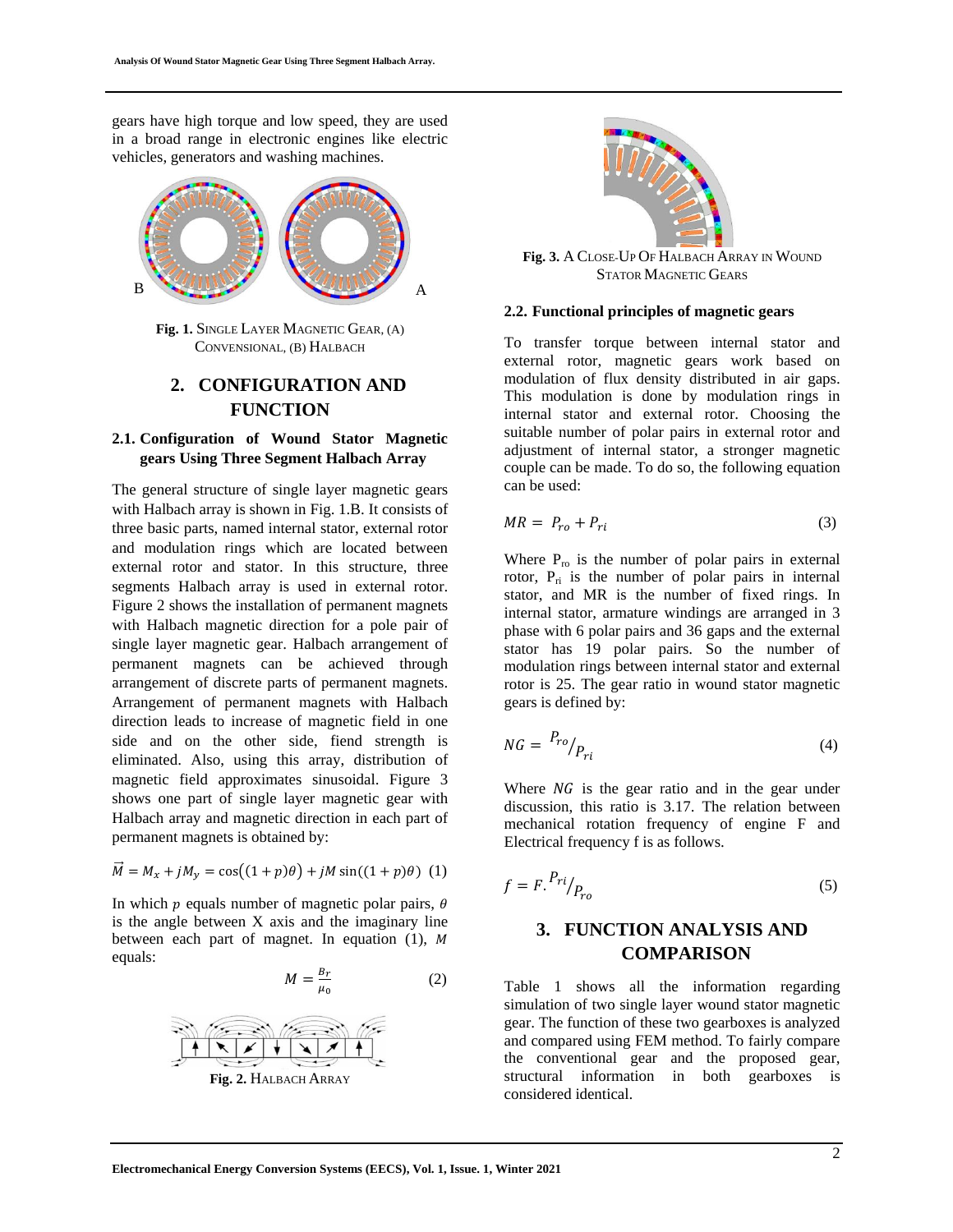gears have high torque and low speed, they are used in a broad range in electronic engines like electric vehicles, generators and washing machines.



**Fig. 1.** SINGLE LAYER MAGNETIC GEAR, (A) CONVENSIONAL, (B) HALBACH

# **2. CONFIGURATION AND FUNCTION**

### **2.1. Configuration of Wound Stator Magnetic gears Using Three Segment Halbach Array**

The general structure of single layer magnetic gears with Halbach array is shown in Fig. 1.B. It consists of three basic parts, named internal stator, external rotor and modulation rings which are located between external rotor and stator. In this structure, three segments Halbach array is used in external rotor. Figure 2 shows the installation of permanent magnets with Halbach magnetic direction for a pole pair of single layer magnetic gear. Halbach arrangement of permanent magnets can be achieved through arrangement of discrete parts of permanent magnets. Arrangement of permanent magnets with Halbach direction leads to increase of magnetic field in one side and on the other side, fiend strength is eliminated. Also, using this array, distribution of magnetic field approximates sinusoidal. Figure 3 shows one part of single layer magnetic gear with Halbach array and magnetic direction in each part of permanent magnets is obtained by:

$$
\vec{M} = M_x + jM_y = \cos((1+p)\theta) + jM\sin((1+p)\theta)
$$
 (1)

In which  $p$  equals number of magnetic polar pairs,  $\theta$ is the angle between X axis and the imaginary line between each part of magnet. In equation (1), M equals:

$$
M = \frac{B_r}{\mu_0} \tag{2}
$$



**Fig. 3.** A CLOSE-UP OF HALBACH ARRAY IN WOUND STATOR MAGNETIC GEARS

#### **2.2. Functional principles of magnetic gears**

To transfer torque between internal stator and external rotor, magnetic gears work based on modulation of flux density distributed in air gaps. This modulation is done by modulation rings in internal stator and external rotor. Choosing the suitable number of polar pairs in external rotor and adjustment of internal stator, a stronger magnetic couple can be made. To do so, the following equation can be used:

$$
MR = P_{ro} + P_{ri} \tag{3}
$$

Where  $P_{\text{ro}}$  is the number of polar pairs in external rotor,  $P_{ri}$  is the number of polar pairs in internal stator, and MR is the number of fixed rings. In internal stator, armature windings are arranged in 3 phase with 6 polar pairs and 36 gaps and the external stator has 19 polar pairs. So the number of modulation rings between internal stator and external rotor is 25. The gear ratio in wound stator magnetic gears is defined by:

$$
NG = \frac{P_{ro}}{P_{ri}} \tag{4}
$$

Where  $NG$  is the gear ratio and in the gear under discussion, this ratio is 3.17. The relation between mechanical rotation frequency of engine F and Electrical frequency f is as follows.

$$
f = F \cdot \frac{P_{ri}}{P_{ro}} \tag{5}
$$

## **3. FUNCTION ANALYSIS AND COMPARISON**

Table 1 shows all the information regarding simulation of two single layer wound stator magnetic gear. The function of these two gearboxes is analyzed and compared using FEM method. To fairly compare the conventional gear and the proposed gear, structural information in both gearboxes is considered identical.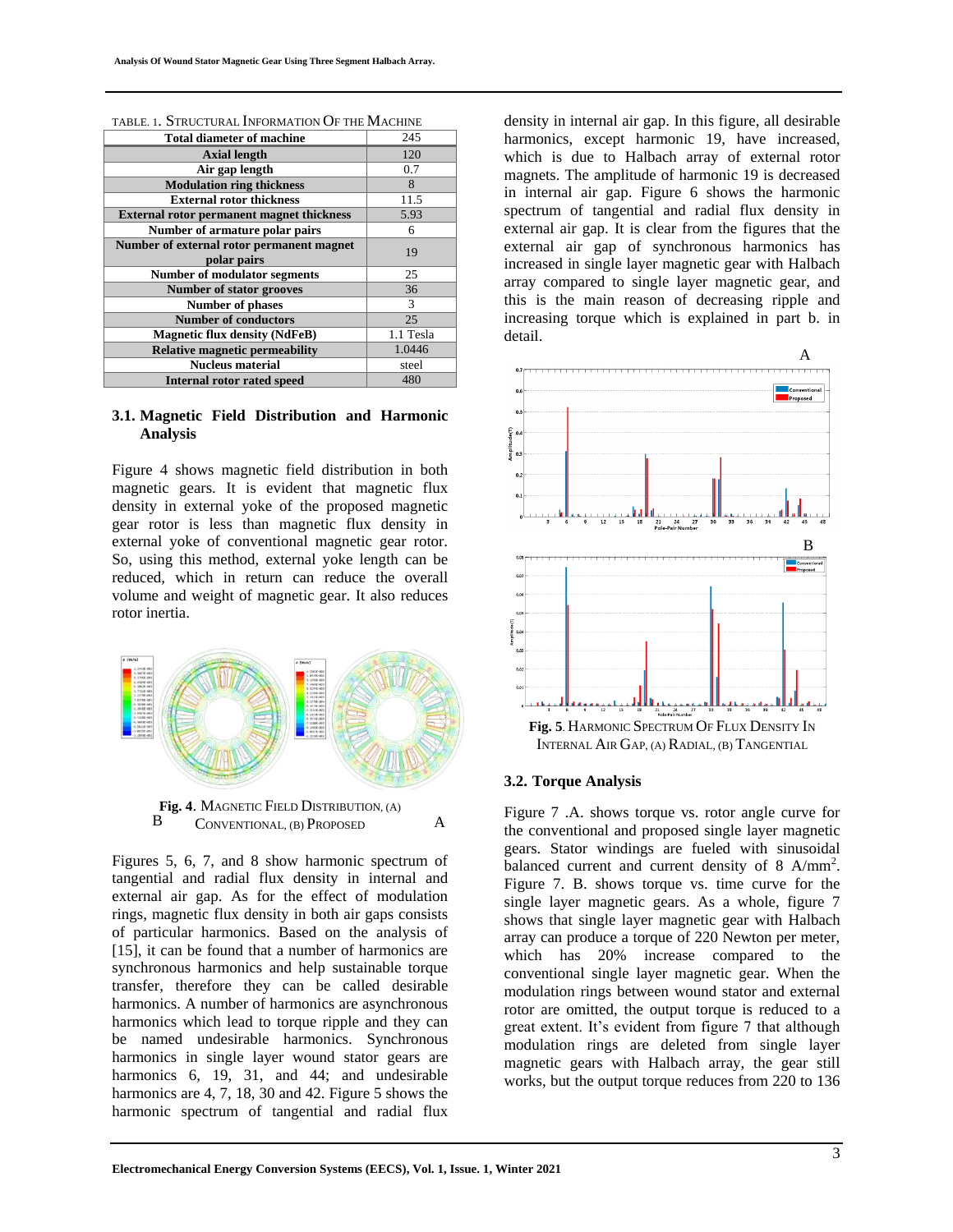| <b>Total diameter of machine</b>                 | 245       |
|--------------------------------------------------|-----------|
| <b>Axial length</b>                              | 120       |
| Air gap length                                   | 0.7       |
| <b>Modulation ring thickness</b>                 | 8         |
| <b>External rotor thickness</b>                  | 11.5      |
| <b>External rotor permanent magnet thickness</b> | 5.93      |
| Number of armature polar pairs                   | 6         |
| Number of external rotor permanent magnet        | 19        |
| polar pairs                                      |           |
| <b>Number of modulator segments</b>              | 25        |
| <b>Number of stator grooves</b>                  | 36        |
| <b>Number of phases</b>                          | 3         |
| <b>Number of conductors</b>                      | 25        |
| <b>Magnetic flux density (NdFeB)</b>             | 1.1 Tesla |
| <b>Relative magnetic permeability</b>            | 1.0446    |
| <b>Nucleus material</b>                          | steel     |
| <b>Internal rotor rated speed</b>                | 480       |

TABLE. 1. STRUCTURAL INFORMATION OF THE MACHINE

### **3.1. Magnetic Field Distribution and Harmonic Analysis**

Figure 4 shows magnetic field distribution in both magnetic gears. It is evident that magnetic flux density in external yoke of the proposed magnetic gear rotor is less than magnetic flux density in external yoke of conventional magnetic gear rotor. So, using this method, external yoke length can be reduced, which in return can reduce the overall volume and weight of magnetic gear. It also reduces rotor inertia.





Figures 5, 6, 7, and 8 show harmonic spectrum of tangential and radial flux density in internal and external air gap. As for the effect of modulation rings, magnetic flux density in both air gaps consists of particular harmonics. Based on the analysis of [15], it can be found that a number of harmonics are synchronous harmonics and help sustainable torque transfer, therefore they can be called desirable harmonics. A number of harmonics are asynchronous harmonics which lead to torque ripple and they can be named undesirable harmonics. Synchronous harmonics in single layer wound stator gears are harmonics 6, 19, 31, and 44; and undesirable harmonics are 4, 7, 18, 30 and 42. Figure 5 shows the harmonic spectrum of tangential and radial flux

density in internal air gap. In this figure, all desirable harmonics, except harmonic 19, have increased, which is due to Halbach array of external rotor magnets. The amplitude of harmonic 19 is decreased in internal air gap. Figure 6 shows the harmonic spectrum of tangential and radial flux density in external air gap. It is clear from the figures that the external air gap of synchronous harmonics has increased in single layer magnetic gear with Halbach array compared to single layer magnetic gear, and this is the main reason of decreasing ripple and increasing torque which is explained in part b. in detail.



#### **3.2. Torque Analysis**

Figure 7 .A. shows torque vs. rotor angle curve for the conventional and proposed single layer magnetic gears. Stator windings are fueled with sinusoidal balanced current and current density of 8 A/mm<sup>2</sup>. Figure 7. B. shows torque vs. time curve for the single layer magnetic gears. As a whole, figure 7 shows that single layer magnetic gear with Halbach array can produce a torque of 220 Newton per meter, which has 20% increase compared to the conventional single layer magnetic gear. When the modulation rings between wound stator and external rotor are omitted, the output torque is reduced to a great extent. It's evident from figure 7 that although modulation rings are deleted from single layer magnetic gears with Halbach array, the gear still works, but the output torque reduces from 220 to 136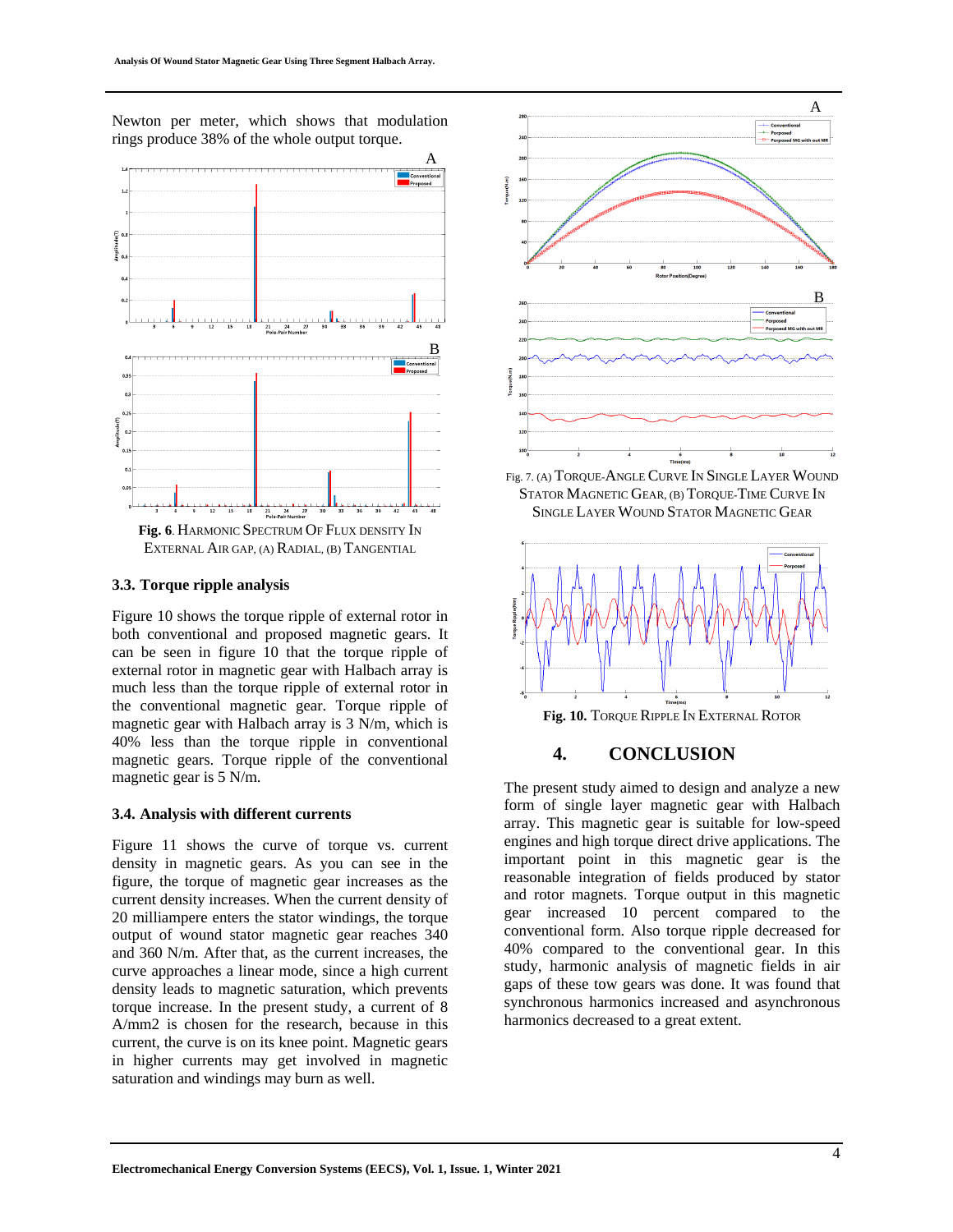Newton per meter, which shows that modulation rings produce 38% of the whole output torque.



EXTERNAL AIR GAP, (A) RADIAL, (B) TANGENTIAL

#### **3.3. Torque ripple analysis**

Figure 10 shows the torque ripple of external rotor in both conventional and proposed magnetic gears. It can be seen in figure 10 that the torque ripple of external rotor in magnetic gear with Halbach array is much less than the torque ripple of external rotor in the conventional magnetic gear. Torque ripple of magnetic gear with Halbach array is 3 N/m, which is 40% less than the torque ripple in conventional magnetic gears. Torque ripple of the conventional magnetic gear is 5 N/m.

#### **3.4. Analysis with different currents**

Figure 11 shows the curve of torque vs. current density in magnetic gears. As you can see in the figure, the torque of magnetic gear increases as the current density increases. When the current density of 20 milliampere enters the stator windings, the torque output of wound stator magnetic gear reaches 340 and 360 N/m. After that, as the current increases, the curve approaches a linear mode, since a high current density leads to magnetic saturation, which prevents torque increase. In the present study, a current of 8 A/mm2 is chosen for the research, because in this current, the curve is on its knee point. Magnetic gears in higher currents may get involved in magnetic saturation and windings may burn as well.



Fig. 7. (A) TORQUE-ANGLE CURVE IN SINGLE LAYER WOUND STATOR MAGNETIC GEAR, (B) TORQUE-TIME CURVE IN SINGLE LAYER WOUND STATOR MAGNETIC GEAR



## **4. CONCLUSION**

The present study aimed to design and analyze a new form of single layer magnetic gear with Halbach array. This magnetic gear is suitable for low-speed engines and high torque direct drive applications. The important point in this magnetic gear is the reasonable integration of fields produced by stator and rotor magnets. Torque output in this magnetic gear increased 10 percent compared to the conventional form. Also torque ripple decreased for 40% compared to the conventional gear. In this study, harmonic analysis of magnetic fields in air gaps of these tow gears was done. It was found that synchronous harmonics increased and asynchronous harmonics decreased to a great extent.